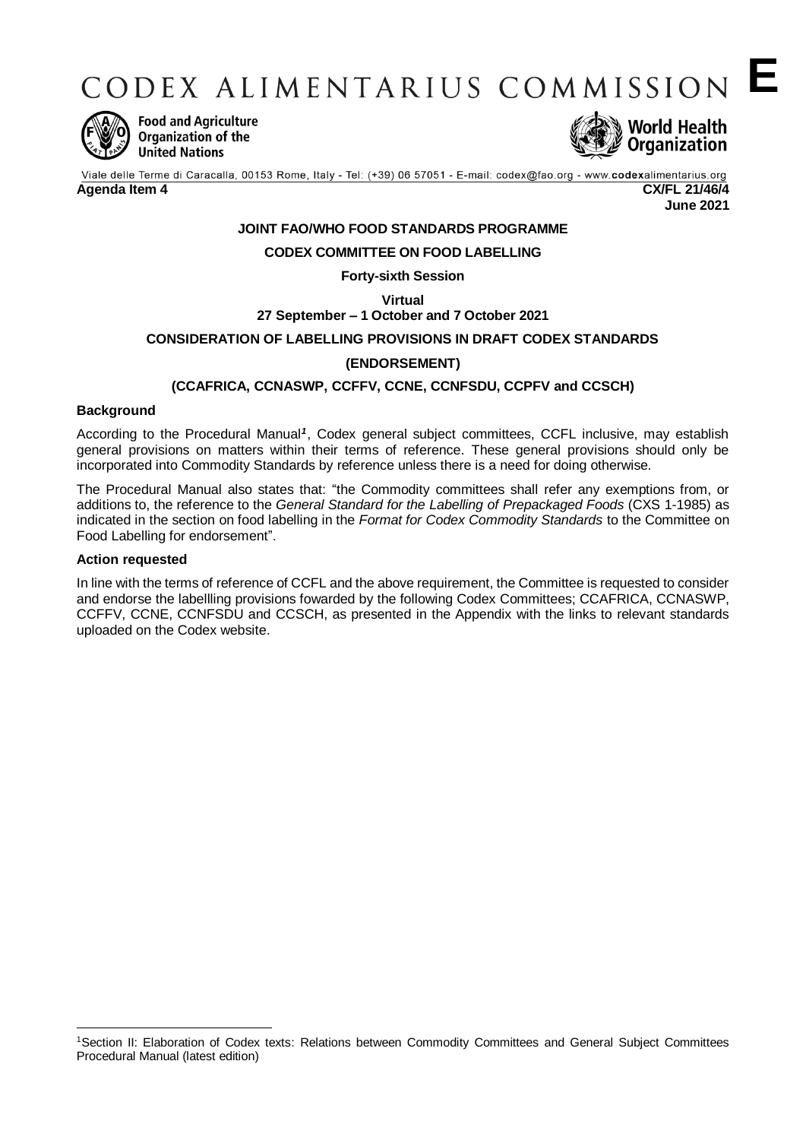CODEX ALIMENTARIUS COMMISSION



**Food and Agriculture** Organization of the **United Nations** 



**E**

Viale delle Terme di Caracalla, 00153 Rome, Italy - Tel: (+39) 06 57051 - E-mail: codex@fao.org - www.codexalimentarius.org **Agenda Item 4 CX/FL 21/46/4 June 2021**

**JOINT FAO/WHO FOOD STANDARDS PROGRAMME**

#### **CODEX COMMITTEE ON FOOD LABELLING**

#### **Forty-sixth Session**

**Virtual**

**27 September – 1 October and 7 October 2021**

#### **CONSIDERATION OF LABELLING PROVISIONS IN DRAFT CODEX STANDARDS**

#### **(ENDORSEMENT)**

#### **(CCAFRICA, CCNASWP, CCFFV, CCNE, CCNFSDU, CCPFV and CCSCH)**

#### **Background**

According to the Procedural Manual<sup>1</sup>, Codex general subject committees, CCFL inclusive, may establish general provisions on matters within their terms of reference. These general provisions should only be incorporated into Commodity Standards by reference unless there is a need for doing otherwise*.*

The Procedural Manual also states that: "the Commodity committees shall refer any exemptions from, or additions to, the reference to the *General Standard for the Labelling of Prepackaged Foods* (CXS 1-1985) as indicated in the section on food labelling in the *Format for Codex Commodity Standards* to the Committee on Food Labelling for endorsement".

#### **Action requested**

-

In line with the terms of reference of CCFL and the above requirement, the Committee is requested to consider and endorse the labellling provisions fowarded by the following Codex Committees; CCAFRICA, CCNASWP, CCFFV, CCNE, CCNFSDU and CCSCH, as presented in the Appendix with the links to relevant standards uploaded on the Codex website.

<sup>1</sup>Section II: Elaboration of Codex texts: Relations between Commodity Committees and General Subject Committees Procedural Manual (latest edition)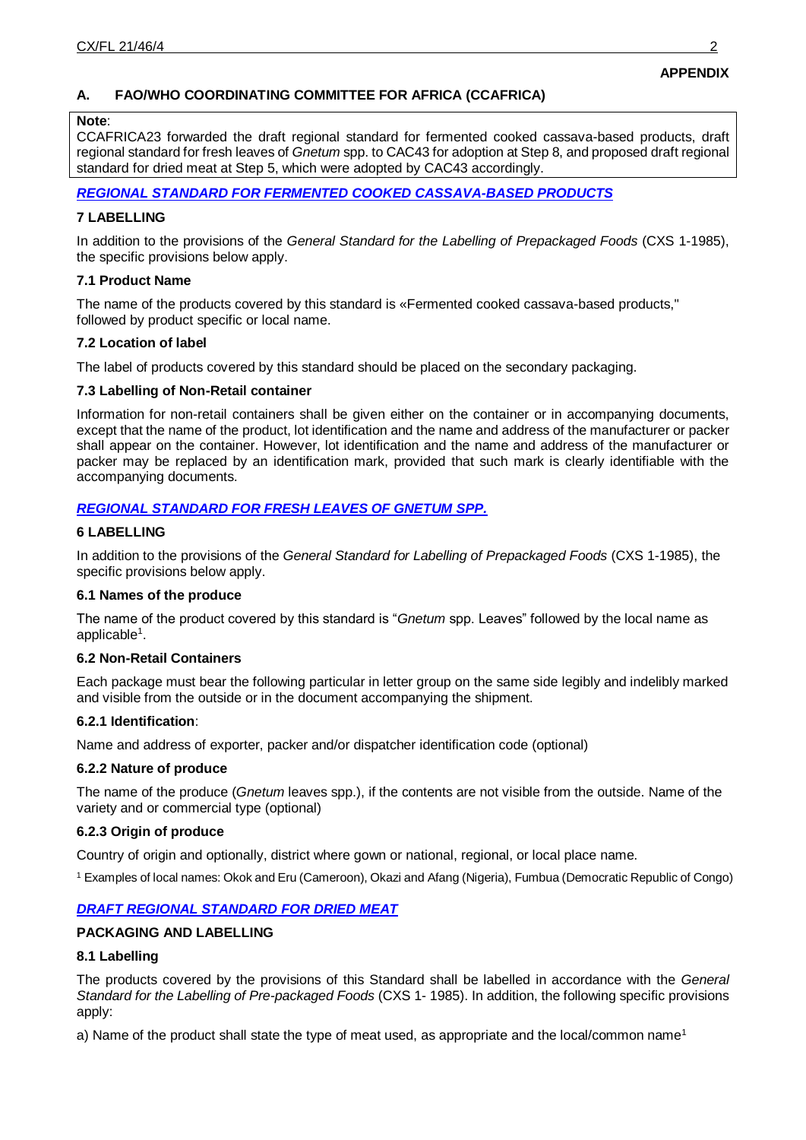# **A. FAO/WHO COORDINATING COMMITTEE FOR AFRICA (CCAFRICA)**

#### **Note**:

CCAFRICA23 forwarded the draft regional standard for fermented cooked cassava-based products, draft regional standard for fresh leaves of *Gnetum* spp. to CAC43 for adoption at Step 8, and proposed draft regional standard for dried meat at Step 5, which were adopted by CAC43 accordingly.

*[REGIONAL STANDARD FOR FERMENTED COOKED CASSAVA-BASED PRODUCTS](http://www.fao.org/fao-who-codexalimentarius/sh-proxy/en/?lnk=1&url=https%253A%252F%252Fworkspace.fao.org%252Fsites%252Fcodex%252FMeetings%252FCX-707-23%252FREPORT%252FREP20_AFRICAe.pdf#page=32)*

#### **7 LABELLING**

In addition to the provisions of the *General Standard for the Labelling of Prepackaged Foods* (CXS 1-1985), the specific provisions below apply.

#### **7.1 Product Name**

The name of the products covered by this standard is «Fermented cooked cassava-based products," followed by product specific or local name.

#### **7.2 Location of label**

The label of products covered by this standard should be placed on the secondary packaging.

#### **7.3 Labelling of Non-Retail container**

Information for non-retail containers shall be given either on the container or in accompanying documents, except that the name of the product, lot identification and the name and address of the manufacturer or packer shall appear on the container. However, lot identification and the name and address of the manufacturer or packer may be replaced by an identification mark, provided that such mark is clearly identifiable with the accompanying documents.

### *[REGIONAL STANDARD FOR FRESH LEAVES OF GNETUM SPP.](http://www.fao.org/fao-who-codexalimentarius/sh-proxy/en/?lnk=1&url=https%253A%252F%252Fworkspace.fao.org%252Fsites%252Fcodex%252FMeetings%252FCX-707-23%252FREPORT%252FREP20_AFRICAe.pdf#page=34)*

#### **6 LABELLING**

In addition to the provisions of the *General Standard for Labelling of Prepackaged Foods* (CXS 1-1985), the specific provisions below apply.

#### **6.1 Names of the produce**

The name of the product covered by this standard is "*Gnetum* spp. Leaves" followed by the local name as applicable<sup>1</sup>.

#### **6.2 Non-Retail Containers**

Each package must bear the following particular in letter group on the same side legibly and indelibly marked and visible from the outside or in the document accompanying the shipment.

#### **6.2.1 Identification**:

Name and address of exporter, packer and/or dispatcher identification code (optional)

#### **6.2.2 Nature of produce**

The name of the produce (*Gnetum* leaves spp.), if the contents are not visible from the outside. Name of the variety and or commercial type (optional)

#### **6.2.3 Origin of produce**

Country of origin and optionally, district where gown or national, regional, or local place name.

<sup>1</sup> Examples of local names: Okok and Eru (Cameroon), Okazi and Afang (Nigeria), Fumbua (Democratic Republic of Congo)

### *[DRAFT REGIONAL STANDARD FOR DRIED MEAT](http://www.fao.org/fao-who-codexalimentarius/sh-proxy/en/?lnk=1&url=https%253A%252F%252Fworkspace.fao.org%252Fsites%252Fcodex%252FMeetings%252FCX-707-23%252FREPORT%252FREP20_AFRICAe.pdf#page=36)*

#### **PACKAGING AND LABELLING**

#### **8.1 Labelling**

The products covered by the provisions of this Standard shall be labelled in accordance with the *General Standard for the Labelling of Pre-packaged Foods* (CXS 1- 1985). In addition, the following specific provisions apply:

a) Name of the product shall state the type of meat used, as appropriate and the local/common name<sup>1</sup>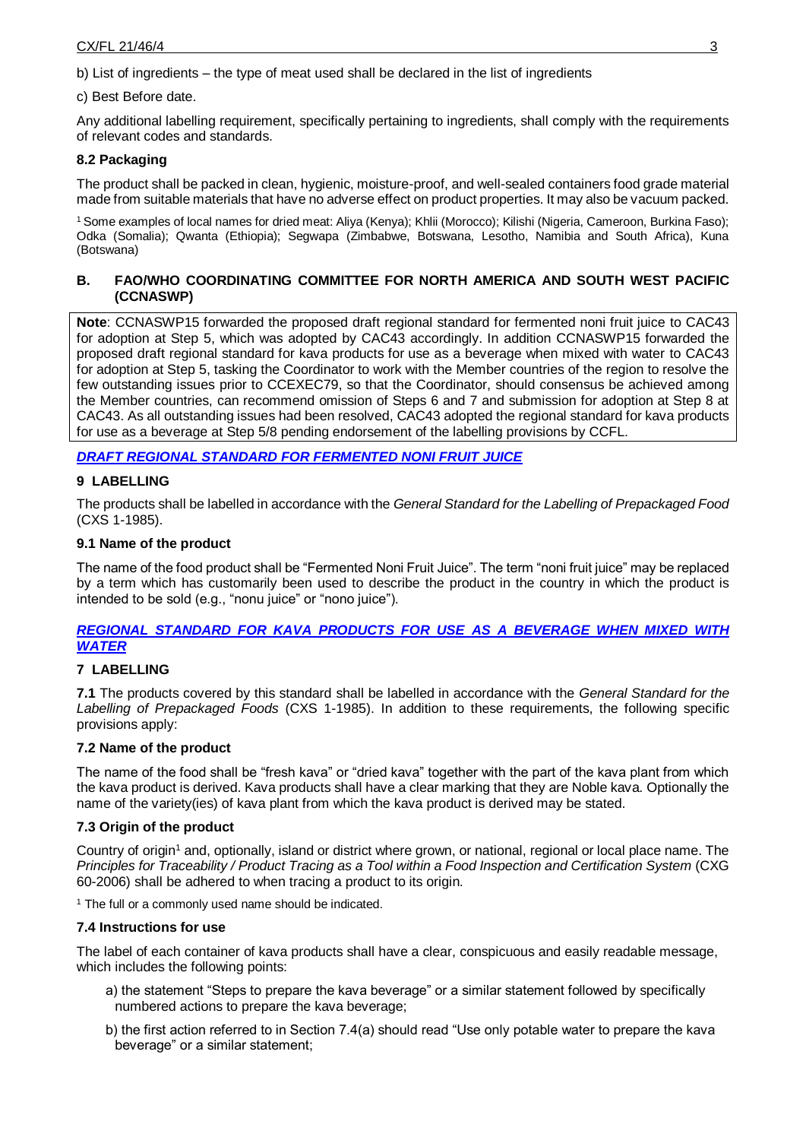b) List of ingredients – the type of meat used shall be declared in the list of ingredients

#### c) Best Before date.

Any additional labelling requirement, specifically pertaining to ingredients, shall comply with the requirements of relevant codes and standards.

### **8.2 Packaging**

The product shall be packed in clean, hygienic, moisture-proof, and well-sealed containers food grade material made from suitable materials that have no adverse effect on product properties. It may also be vacuum packed.

<sup>1</sup>Some examples of local names for dried meat: Aliya (Kenya); Khlii (Morocco); Kilishi (Nigeria, Cameroon, Burkina Faso); Odka (Somalia); Qwanta (Ethiopia); Segwapa (Zimbabwe, Botswana, Lesotho, Namibia and South Africa), Kuna (Botswana)

## **B. FAO/WHO COORDINATING COMMITTEE FOR NORTH AMERICA AND SOUTH WEST PACIFIC (CCNASWP)**

**Note**: CCNASWP15 forwarded the proposed draft regional standard for fermented noni fruit juice to CAC43 for adoption at Step 5, which was adopted by CAC43 accordingly. In addition CCNASWP15 forwarded the proposed draft regional standard for kava products for use as a beverage when mixed with water to CAC43 for adoption at Step 5, tasking the Coordinator to work with the Member countries of the region to resolve the few outstanding issues prior to CCEXEC79, so that the Coordinator, should consensus be achieved among the Member countries, can recommend omission of Steps 6 and 7 and submission for adoption at Step 8 at CAC43. As all outstanding issues had been resolved, CAC43 adopted the regional standard for kava products for use as a beverage at Step 5/8 pending endorsement of the labelling provisions by CCFL.

*[DRAFT REGIONAL STANDARD FOR FERMENTED NONI FRUIT JUICE](http://www.fao.org/fao-who-codexalimentarius/sh-proxy/en/?lnk=1&url=https%253A%252F%252Fworkspace.fao.org%252Fsites%252Fcodex%252FMeetings%252FCX-732-15%252FREPORT%252FREP20_NASWPe.pdf#page=22)*

### **9 LABELLING**

The products shall be labelled in accordance with the *General Standard for the Labelling of Prepackaged Food*  (CXS 1-1985).

#### **9.1 Name of the product**

The name of the food product shall be "Fermented Noni Fruit Juice". The term "noni fruit juice" may be replaced by a term which has customarily been used to describe the product in the country in which the product is intended to be sold (e.g., "nonu juice" or "nono juice").

### *[REGIONAL STANDARD FOR KAVA PRODUCTS FOR USE AS A BEVERAGE WHEN MIXED WITH](http://www.fao.org/fao-who-codexalimentarius/sh-proxy/en/?lnk=1&url=https%253A%252F%252Fworkspace.fao.org%252Fsites%252Fcodex%252FMeetings%252FCX-732-15%252FREPORT%252FREP20_NASWPe.pdf#page=26)  [WATER](http://www.fao.org/fao-who-codexalimentarius/sh-proxy/en/?lnk=1&url=https%253A%252F%252Fworkspace.fao.org%252Fsites%252Fcodex%252FMeetings%252FCX-732-15%252FREPORT%252FREP20_NASWPe.pdf#page=26)*

### **7 LABELLING**

**7.1** The products covered by this standard shall be labelled in accordance with the *General Standard for the Labelling of Prepackaged Foods* (CXS 1-1985). In addition to these requirements, the following specific provisions apply:

### **7.2 Name of the product**

The name of the food shall be "fresh kava" or "dried kava" together with the part of the kava plant from which the kava product is derived. Kava products shall have a clear marking that they are Noble kava. Optionally the name of the variety(ies) of kava plant from which the kava product is derived may be stated.

### **7.3 Origin of the product**

Country of origin<sup>1</sup> and, optionally, island or district where grown, or national, regional or local place name. The *Principles for Traceability / Product Tracing as a Tool within a Food Inspection and Certification System* (CXG 60-2006) shall be adhered to when tracing a product to its origin.

 $1$  The full or a commonly used name should be indicated.

### **7.4 Instructions for use**

The label of each container of kava products shall have a clear, conspicuous and easily readable message, which includes the following points:

- a) the statement "Steps to prepare the kava beverage" or a similar statement followed by specifically numbered actions to prepare the kava beverage;
- b) the first action referred to in Section 7.4(a) should read "Use only potable water to prepare the kava beverage" or a similar statement;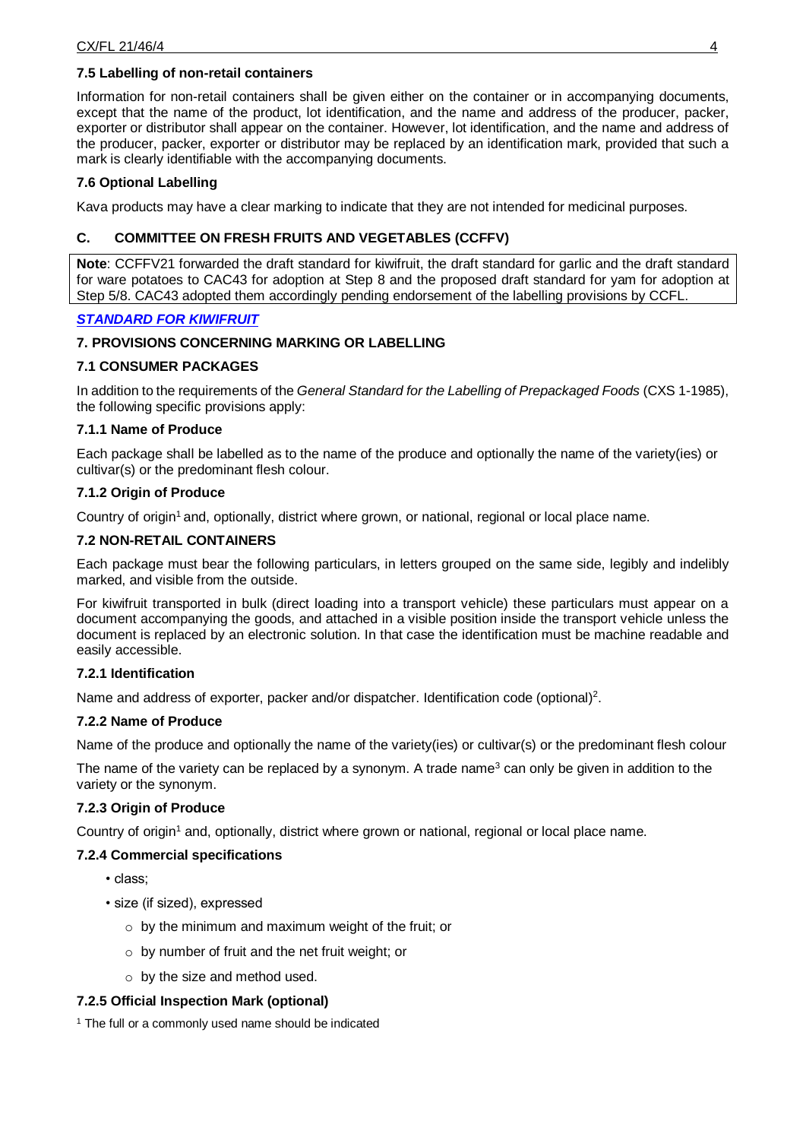### **7.5 Labelling of non-retail containers**

Information for non-retail containers shall be given either on the container or in accompanying documents, except that the name of the product, lot identification, and the name and address of the producer, packer, exporter or distributor shall appear on the container. However, lot identification, and the name and address of the producer, packer, exporter or distributor may be replaced by an identification mark, provided that such a mark is clearly identifiable with the accompanying documents.

## **7.6 Optional Labelling**

Kava products may have a clear marking to indicate that they are not intended for medicinal purposes.

### **C. COMMITTEE ON FRESH FRUITS AND VEGETABLES (CCFFV)**

**Note**: CCFFV21 forwarded the draft standard for kiwifruit, the draft standard for garlic and the draft standard for ware potatoes to CAC43 for adoption at Step 8 and the proposed draft standard for yam for adoption at Step 5/8. CAC43 adopted them accordingly pending endorsement of the labelling provisions by CCFL.

### *[STANDARD FOR KIWIFRUIT](http://www.fao.org/fao-who-codexalimentarius/sh-proxy/en/?lnk=1&url=https%253A%252F%252Fworkspace.fao.org%252Fsites%252Fcodex%252FMeetings%252FCX-731-21%252FFinal%252520report%252FREP20_FFVe_PDF%2Bversion.pdf#page=24)*

# **7. PROVISIONS CONCERNING MARKING OR LABELLING**

### **7.1 CONSUMER PACKAGES**

In addition to the requirements of the *General Standard for the Labelling of Prepackaged Foods* (CXS 1-1985), the following specific provisions apply:

#### **7.1.1 Name of Produce**

Each package shall be labelled as to the name of the produce and optionally the name of the variety(ies) or cultivar(s) or the predominant flesh colour.

#### **7.1.2 Origin of Produce**

Country of origin<sup>1</sup> and, optionally, district where grown, or national, regional or local place name.

#### **7.2 NON-RETAIL CONTAINERS**

Each package must bear the following particulars, in letters grouped on the same side, legibly and indelibly marked, and visible from the outside.

For kiwifruit transported in bulk (direct loading into a transport vehicle) these particulars must appear on a document accompanying the goods, and attached in a visible position inside the transport vehicle unless the document is replaced by an electronic solution. In that case the identification must be machine readable and easily accessible.

## **7.2.1 Identification**

Name and address of exporter, packer and/or dispatcher. Identification code (optional)<sup>2</sup>.

### **7.2.2 Name of Produce**

Name of the produce and optionally the name of the variety(ies) or cultivar(s) or the predominant flesh colour

The name of the variety can be replaced by a synonym. A trade name<sup>3</sup> can only be given in addition to the variety or the synonym.

### **7.2.3 Origin of Produce**

Country of origin<sup>1</sup> and, optionally, district where grown or national, regional or local place name.

### **7.2.4 Commercial specifications**

- class;
- size (if sized), expressed
	- $\circ$  by the minimum and maximum weight of the fruit; or
	- o by number of fruit and the net fruit weight; or
	- o by the size and method used.

### **7.2.5 Official Inspection Mark (optional)**

 $1$  The full or a commonly used name should be indicated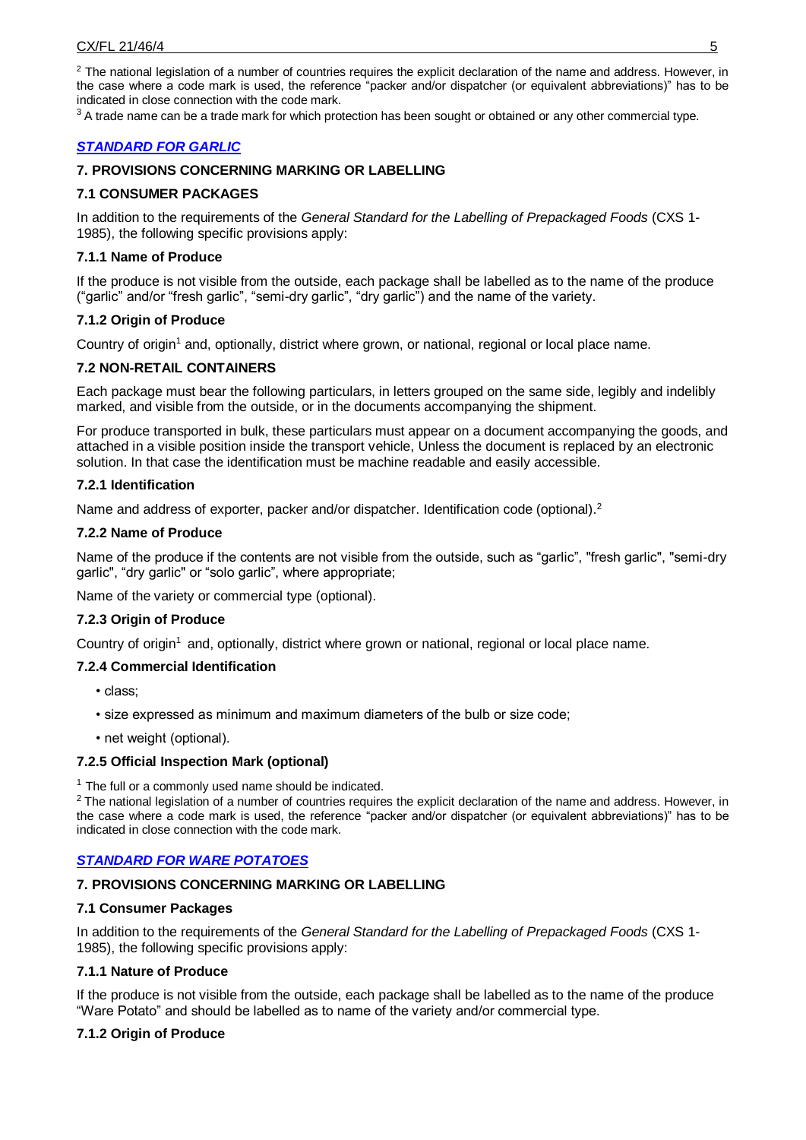$2$  The national legislation of a number of countries requires the explicit declaration of the name and address. However, in the case where a code mark is used, the reference "packer and/or dispatcher (or equivalent abbreviations)" has to be indicated in close connection with the code mark.

 $3A$  trade name can be a trade mark for which protection has been sought or obtained or any other commercial type.

### *[STANDARD FOR GARLIC](http://www.fao.org/fao-who-codexalimentarius/sh-proxy/en/?lnk=1&url=https%253A%252F%252Fworkspace.fao.org%252Fsites%252Fcodex%252FMeetings%252FCX-731-21%252FFinal%252520report%252FREP20_FFVe_PDF%2Bversion.pdf#page=29)*

### **7. PROVISIONS CONCERNING MARKING OR LABELLING**

#### **7.1 CONSUMER PACKAGES**

In addition to the requirements of the *General Standard for the Labelling of Prepackaged Foods* (CXS 1- 1985), the following specific provisions apply:

#### **7.1.1 Name of Produce**

If the produce is not visible from the outside, each package shall be labelled as to the name of the produce ("garlic" and/or "fresh garlic", "semi-dry garlic", "dry garlic") and the name of the variety.

#### **7.1.2 Origin of Produce**

Country of origin<sup>1</sup> and, optionally, district where grown, or national, regional or local place name.

#### **7.2 NON-RETAIL CONTAINERS**

Each package must bear the following particulars, in letters grouped on the same side, legibly and indelibly marked, and visible from the outside, or in the documents accompanying the shipment.

For produce transported in bulk, these particulars must appear on a document accompanying the goods, and attached in a visible position inside the transport vehicle, Unless the document is replaced by an electronic solution. In that case the identification must be machine readable and easily accessible.

#### **7.2.1 Identification**

Name and address of exporter, packer and/or dispatcher. Identification code (optional).<sup>2</sup>

#### **7.2.2 Name of Produce**

Name of the produce if the contents are not visible from the outside, such as "garlic", "fresh garlic", "semi-dry garlic", "dry garlic" or "solo garlic", where appropriate;

Name of the variety or commercial type (optional).

#### **7.2.3 Origin of Produce**

Country of origin<sup>1</sup> and, optionally, district where grown or national, regional or local place name.

#### **7.2.4 Commercial Identification**

- class;
- size expressed as minimum and maximum diameters of the bulb or size code;
- net weight (optional).

#### **7.2.5 Official Inspection Mark (optional)**

 $1$  The full or a commonly used name should be indicated.

 $2$  The national legislation of a number of countries requires the explicit declaration of the name and address. However, in the case where a code mark is used, the reference "packer and/or dispatcher (or equivalent abbreviations)" has to be indicated in close connection with the code mark.

### *[STANDARD FOR WARE POTATOES](http://www.fao.org/fao-who-codexalimentarius/sh-proxy/en/?lnk=1&url=https%253A%252F%252Fworkspace.fao.org%252Fsites%252Fcodex%252FMeetings%252FCX-731-21%252FFinal%252520report%252FREP20_FFVe_PDF%2Bversion.pdf#page=34)*

#### **7. PROVISIONS CONCERNING MARKING OR LABELLING**

#### **7.1 Consumer Packages**

In addition to the requirements of the *General Standard for the Labelling of Prepackaged Foods* (CXS 1- 1985), the following specific provisions apply:

### **7.1.1 Nature of Produce**

If the produce is not visible from the outside, each package shall be labelled as to the name of the produce "Ware Potato" and should be labelled as to name of the variety and/or commercial type.

### **7.1.2 Origin of Produce**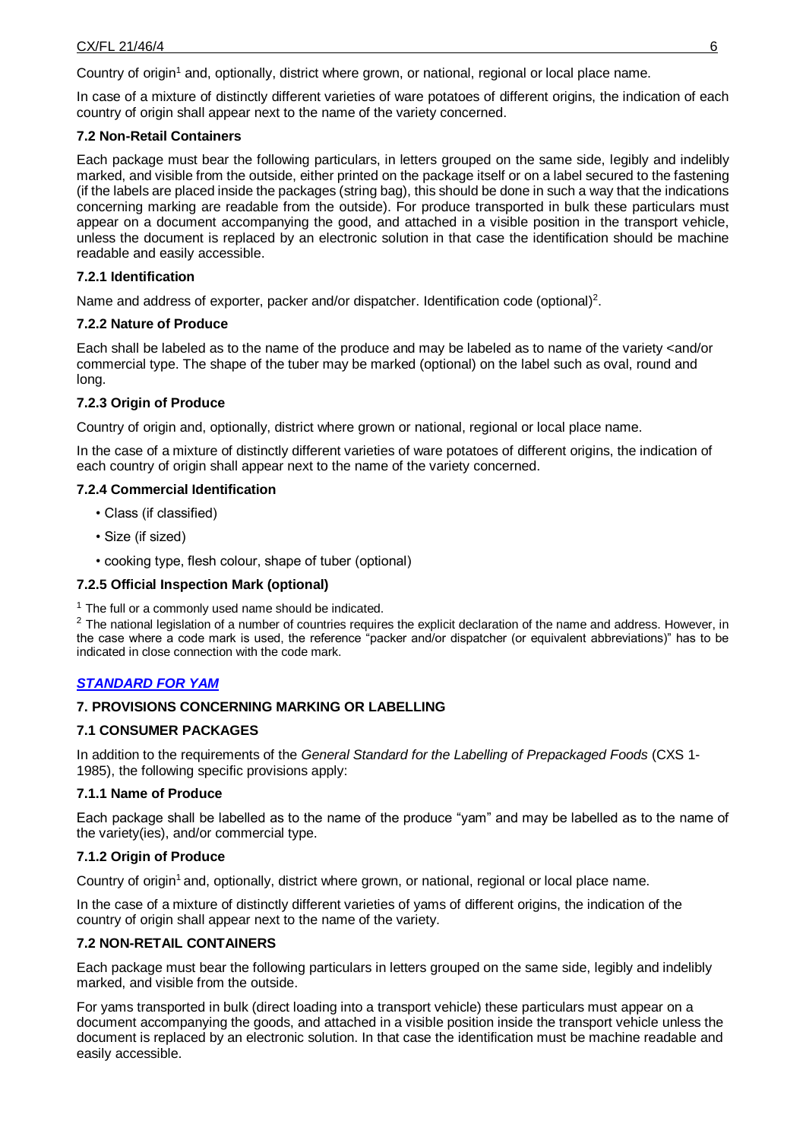Country of origin<sup>1</sup> and, optionally, district where grown, or national, regional or local place name.

In case of a mixture of distinctly different varieties of ware potatoes of different origins, the indication of each country of origin shall appear next to the name of the variety concerned.

#### **7.2 Non-Retail Containers**

Each package must bear the following particulars, in letters grouped on the same side, legibly and indelibly marked, and visible from the outside, either printed on the package itself or on a label secured to the fastening (if the labels are placed inside the packages (string bag), this should be done in such a way that the indications concerning marking are readable from the outside). For produce transported in bulk these particulars must appear on a document accompanying the good, and attached in a visible position in the transport vehicle, unless the document is replaced by an electronic solution in that case the identification should be machine readable and easily accessible.

### **7.2.1 Identification**

Name and address of exporter, packer and/or dispatcher. Identification code (optional)<sup>2</sup>.

#### **7.2.2 Nature of Produce**

Each shall be labeled as to the name of the produce and may be labeled as to name of the variety <and/or commercial type. The shape of the tuber may be marked (optional) on the label such as oval, round and long.

### **7.2.3 Origin of Produce**

Country of origin and, optionally, district where grown or national, regional or local place name.

In the case of a mixture of distinctly different varieties of ware potatoes of different origins, the indication of each country of origin shall appear next to the name of the variety concerned.

#### **7.2.4 Commercial Identification**

- Class (if classified)
- Size (if sized)
- cooking type, flesh colour, shape of tuber (optional)

### **7.2.5 Official Inspection Mark (optional)**

 $1$  The full or a commonly used name should be indicated.

 $2$  The national legislation of a number of countries requires the explicit declaration of the name and address. However, in the case where a code mark is used, the reference "packer and/or dispatcher (or equivalent abbreviations)" has to be indicated in close connection with the code mark.

### *[STANDARD FOR YAM](http://www.fao.org/fao-who-codexalimentarius/sh-proxy/en/?lnk=1&url=https%253A%252F%252Fworkspace.fao.org%252Fsites%252Fcodex%252FMeetings%252FCX-731-21%252FFinal%252520report%252FREP20_FFVe_PDF%2Bversion.pdf#page=39)*

### **7. PROVISIONS CONCERNING MARKING OR LABELLING**

### **7.1 CONSUMER PACKAGES**

In addition to the requirements of the *General Standard for the Labelling of Prepackaged Foods* (CXS 1- 1985), the following specific provisions apply:

#### **7.1.1 Name of Produce**

Each package shall be labelled as to the name of the produce "yam" and may be labelled as to the name of the variety(ies), and/or commercial type.

### **7.1.2 Origin of Produce**

Country of origin<sup>1</sup> and, optionally, district where grown, or national, regional or local place name.

In the case of a mixture of distinctly different varieties of yams of different origins, the indication of the country of origin shall appear next to the name of the variety.

## **7.2 NON-RETAIL CONTAINERS**

Each package must bear the following particulars in letters grouped on the same side, legibly and indelibly marked, and visible from the outside.

For yams transported in bulk (direct loading into a transport vehicle) these particulars must appear on a document accompanying the goods, and attached in a visible position inside the transport vehicle unless the document is replaced by an electronic solution. In that case the identification must be machine readable and easily accessible.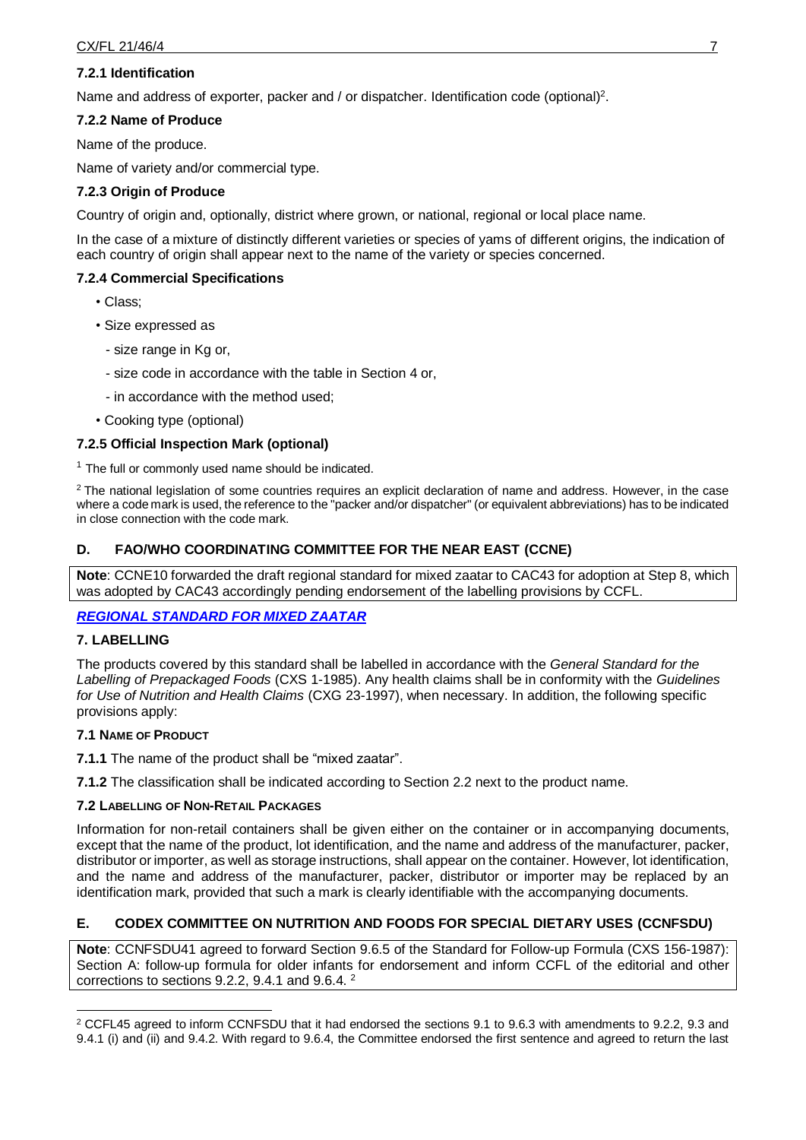## **7.2.1 Identification**

Name and address of exporter, packer and / or dispatcher. Identification code (optional)<sup>2</sup>.

## **7.2.2 Name of Produce**

Name of the produce.

Name of variety and/or commercial type.

# **7.2.3 Origin of Produce**

Country of origin and, optionally, district where grown, or national, regional or local place name.

In the case of a mixture of distinctly different varieties or species of yams of different origins, the indication of each country of origin shall appear next to the name of the variety or species concerned.

# **7.2.4 Commercial Specifications**

- Class;
- Size expressed as
	- size range in Kg or,
	- size code in accordance with the table in Section 4 or,
	- in accordance with the method used;
- Cooking type (optional)

## **7.2.5 Official Inspection Mark (optional)**

 $1$  The full or commonly used name should be indicated.

<sup>2</sup> The national legislation of some countries requires an explicit declaration of name and address. However, in the case where a code mark is used, the reference to the "packer and/or dispatcher" (or equivalent abbreviations) has to be indicated in close connection with the code mark.

# **D. FAO/WHO COORDINATING COMMITTEE FOR THE NEAR EAST (CCNE)**

**Note**: CCNE10 forwarded the draft regional standard for mixed zaatar to CAC43 for adoption at Step 8, which was adopted by CAC43 accordingly pending endorsement of the labelling provisions by CCFL.

### *[REGIONAL STANDARD FOR MIXED ZAATAR](http://www.fao.org/fao-who-codexalimentarius/sh-proxy/en/?lnk=1&url=https%253A%252F%252Fworkspace.fao.org%252Fsites%252Fcodex%252FMeetings%252FCX-734-10%252FReport%252FREP20_NEe.pdf#page=28)*

### **7. LABELLING**

The products covered by this standard shall be labelled in accordance with the *General Standard for the Labelling of Prepackaged Foods* (CXS 1-1985). Any health claims shall be in conformity with the *Guidelines for Use of Nutrition and Health Claims* (CXG 23-1997), when necessary. In addition, the following specific provisions apply:

### **7.1 NAME OF PRODUCT**

**7.1.1** The name of the product shall be "mixed zaatar".

**7.1.2** The classification shall be indicated according to Section 2.2 next to the product name.

### **7.2 LABELLING OF NON-RETAIL PACKAGES**

Information for non-retail containers shall be given either on the container or in accompanying documents, except that the name of the product, lot identification, and the name and address of the manufacturer, packer, distributor or importer, as well as storage instructions, shall appear on the container. However, lot identification, and the name and address of the manufacturer, packer, distributor or importer may be replaced by an identification mark, provided that such a mark is clearly identifiable with the accompanying documents.

# **E. CODEX COMMITTEE ON NUTRITION AND FOODS FOR SPECIAL DIETARY USES (CCNFSDU)**

**Note**: CCNFSDU41 agreed to forward Section 9.6.5 of the Standard for Follow-up Formula (CXS 156-1987): Section A: follow-up formula for older infants for endorsement and inform CCFL of the editorial and other corrections to sections 9.2.2, 9.4.1 and 9.6.4. <sup>2</sup>

<sup>-</sup> $2$  CCFL45 agreed to inform CCNFSDU that it had endorsed the sections 9.1 to 9.6.3 with amendments to 9.2.2, 9.3 and 9.4.1 (i) and (ii) and 9.4.2. With regard to 9.6.4, the Committee endorsed the first sentence and agreed to return the last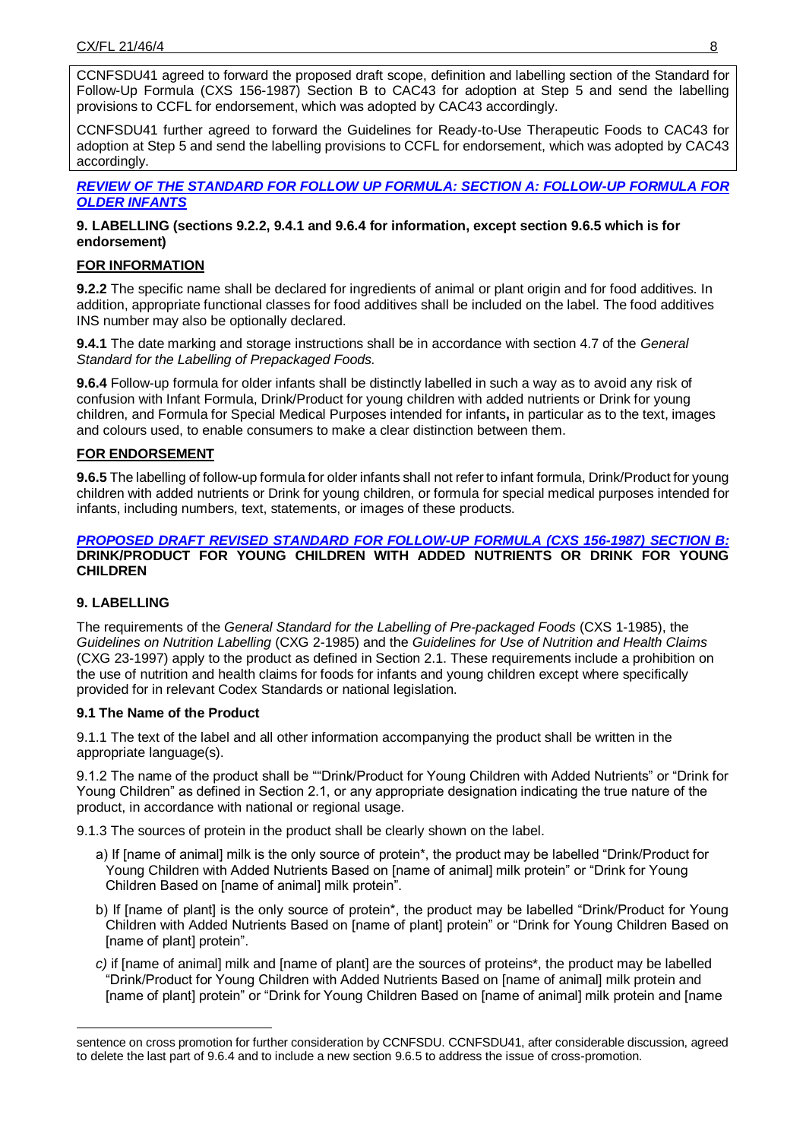CCNFSDU41 agreed to forward the proposed draft scope, definition and labelling section of the Standard for Follow-Up Formula (CXS 156-1987) Section B to CAC43 for adoption at Step 5 and send the labelling provisions to CCFL for endorsement, which was adopted by CAC43 accordingly.

CCNFSDU41 further agreed to forward the Guidelines for Ready-to-Use Therapeutic Foods to CAC43 for adoption at Step 5 and send the labelling provisions to CCFL for endorsement, which was adopted by CAC43 accordingly.

#### *[REVIEW OF THE STANDARD FOR FOLLOW UP FORMULA: SECTION A: FOLLOW-UP FORMULA FOR](http://www.fao.org/fao-who-codexalimentarius/sh-proxy/en/?lnk=1&url=https%253A%252F%252Fworkspace.fao.org%252Fsites%252Fcodex%252FMeetings%252FCX-720-41%252FReport%252FAdoption%252FREP20_NFSDUe.pdf#page=50)  [OLDER INFANTS](http://www.fao.org/fao-who-codexalimentarius/sh-proxy/en/?lnk=1&url=https%253A%252F%252Fworkspace.fao.org%252Fsites%252Fcodex%252FMeetings%252FCX-720-41%252FReport%252FAdoption%252FREP20_NFSDUe.pdf#page=50)*

### **9. LABELLING (sections 9.2.2, 9.4.1 and 9.6.4 for information, except section 9.6.5 which is for endorsement)**

## **FOR INFORMATION**

**9.2.2** The specific name shall be declared for ingredients of animal or plant origin and for food additives. In addition, appropriate functional classes for food additives shall be included on the label. The food additives INS number may also be optionally declared.

**9.4.1** The date marking and storage instructions shall be in accordance with section 4.7 of the *General Standard for the Labelling of Prepackaged Foods.* 

**9.6.4** Follow-up formula for older infants shall be distinctly labelled in such a way as to avoid any risk of confusion with Infant Formula, Drink/Product for young children with added nutrients or Drink for young children, and Formula for Special Medical Purposes intended for infants**,** in particular as to the text, images and colours used, to enable consumers to make a clear distinction between them.

### **FOR ENDORSEMENT**

**9.6.5** The labelling of follow-up formula for older infants shall not refer to infant formula, Drink/Product for young children with added nutrients or Drink for young children, or formula for special medical purposes intended for infants, including numbers, text, statements, or images of these products.

#### *PROPOSED DRAFT REVISED STANDARD [FOR FOLLOW-UP FORMULA \(CXS 156-1987\) SECTION B:](http://www.fao.org/fao-who-codexalimentarius/sh-proxy/en/?lnk=1&url=https%253A%252F%252Fworkspace.fao.org%252Fsites%252Fcodex%252FMeetings%252FCX-720-41%252FReport%252FAdoption%252FREP20_NFSDUe.pdf#page=62)*  **[DRINK/PRODUCT FOR YOUNG CHILDREN WITH ADDED NUTRIENTS OR DRINK FOR YOUNG](http://www.fao.org/fao-who-codexalimentarius/sh-proxy/en/?lnk=1&url=https%253A%252F%252Fworkspace.fao.org%252Fsites%252Fcodex%252FMeetings%252FCX-720-41%252FReport%252FAdoption%252FREP20_NFSDUe.pdf#page=62)  [CHILDREN](http://www.fao.org/fao-who-codexalimentarius/sh-proxy/en/?lnk=1&url=https%253A%252F%252Fworkspace.fao.org%252Fsites%252Fcodex%252FMeetings%252FCX-720-41%252FReport%252FAdoption%252FREP20_NFSDUe.pdf#page=62)**

### **9. LABELLING**

-

The requirements of the *General Standard for the Labelling of Pre-packaged Foods* (CXS 1-1985), the *Guidelines on Nutrition Labelling* (CXG 2-1985) and the *Guidelines for Use of Nutrition and Health Claims*  (CXG 23-1997) apply to the product as defined in Section 2.1. These requirements include a prohibition on the use of nutrition and health claims for foods for infants and young children except where specifically provided for in relevant Codex Standards or national legislation.

### **9.1 The Name of the Product**

9.1.1 The text of the label and all other information accompanying the product shall be written in the appropriate language(s).

9.1.2 The name of the product shall be ""Drink/Product for Young Children with Added Nutrients" or "Drink for Young Children" as defined in Section 2.1, or any appropriate designation indicating the true nature of the product, in accordance with national or regional usage.

9.1.3 The sources of protein in the product shall be clearly shown on the label.

- a) If [name of animal] milk is the only source of protein\*, the product may be labelled "Drink/Product for Young Children with Added Nutrients Based on [name of animal] milk protein" or "Drink for Young Children Based on [name of animal] milk protein".
- b) If [name of plant] is the only source of protein<sup>\*</sup>, the product may be labelled "Drink/Product for Young Children with Added Nutrients Based on [name of plant] protein" or "Drink for Young Children Based on [name of plant] protein".
- *c)* if [name of animal] milk and [name of plant] are the sources of proteins\*, the product may be labelled "Drink/Product for Young Children with Added Nutrients Based on [name of animal] milk protein and [name of plant] protein" or "Drink for Young Children Based on [name of animal] milk protein and [name

sentence on cross promotion for further consideration by CCNFSDU. CCNFSDU41, after considerable discussion, agreed to delete the last part of 9.6.4 and to include a new section 9.6.5 to address the issue of cross-promotion.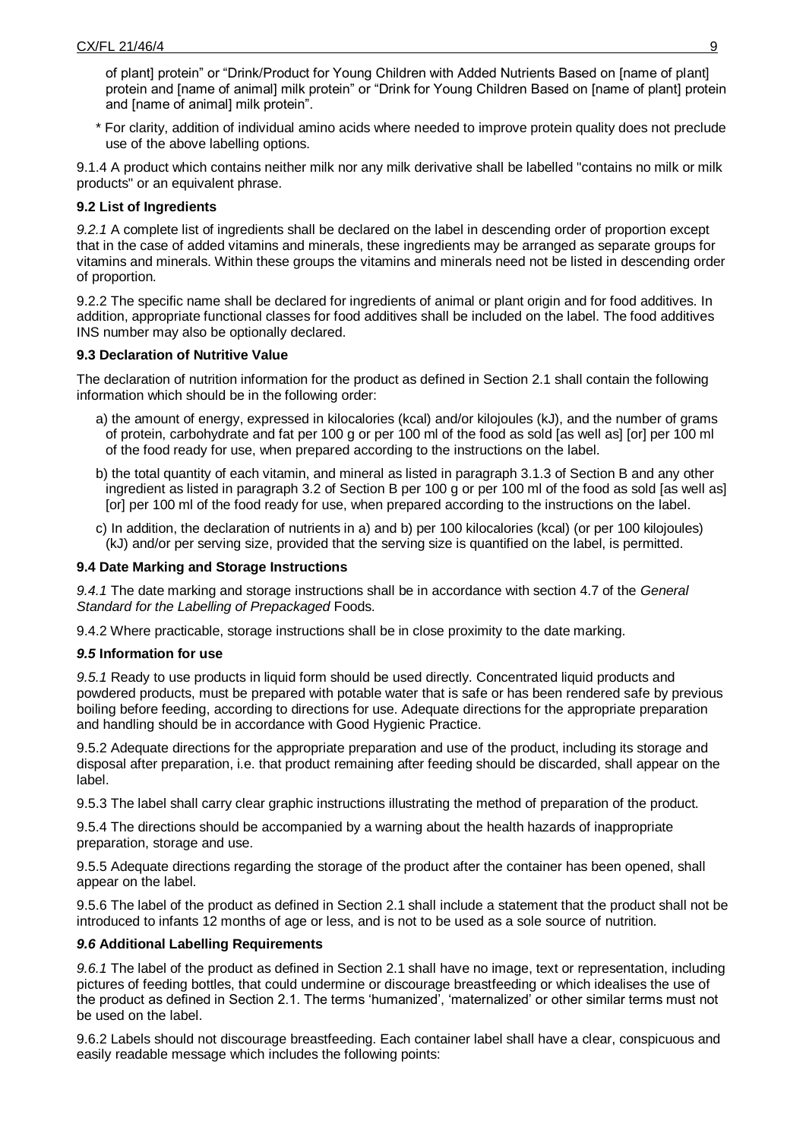of plant] protein" or "Drink/Product for Young Children with Added Nutrients Based on [name of plant] protein and [name of animal] milk protein" or "Drink for Young Children Based on [name of plant] protein and [name of animal] milk protein".

\* For clarity, addition of individual amino acids where needed to improve protein quality does not preclude use of the above labelling options.

9.1.4 A product which contains neither milk nor any milk derivative shall be labelled "contains no milk or milk products" or an equivalent phrase.

#### **9.2 List of Ingredients**

*9.2.1* A complete list of ingredients shall be declared on the label in descending order of proportion except that in the case of added vitamins and minerals, these ingredients may be arranged as separate groups for vitamins and minerals. Within these groups the vitamins and minerals need not be listed in descending order of proportion.

9.2.2 The specific name shall be declared for ingredients of animal or plant origin and for food additives. In addition, appropriate functional classes for food additives shall be included on the label. The food additives INS number may also be optionally declared.

#### **9.3 Declaration of Nutritive Value**

The declaration of nutrition information for the product as defined in Section 2.1 shall contain the following information which should be in the following order:

- a) the amount of energy, expressed in kilocalories (kcal) and/or kilojoules (kJ), and the number of grams of protein, carbohydrate and fat per 100 g or per 100 ml of the food as sold [as well as] [or] per 100 ml of the food ready for use, when prepared according to the instructions on the label.
- b) the total quantity of each vitamin, and mineral as listed in paragraph 3.1.3 of Section B and any other ingredient as listed in paragraph 3.2 of Section B per 100 g or per 100 ml of the food as sold [as well as] [or] per 100 ml of the food ready for use, when prepared according to the instructions on the label.
- c) In addition, the declaration of nutrients in a) and b) per 100 kilocalories (kcal) (or per 100 kilojoules) (kJ) and/or per serving size, provided that the serving size is quantified on the label, is permitted.

#### **9.4 Date Marking and Storage Instructions**

*9.4.1* The date marking and storage instructions shall be in accordance with section 4.7 of the *General Standard for the Labelling of Prepackaged* Foods.

9.4.2 Where practicable, storage instructions shall be in close proximity to the date marking.

#### *9.5* **Information for use**

*9.5.1* Ready to use products in liquid form should be used directly. Concentrated liquid products and powdered products, must be prepared with potable water that is safe or has been rendered safe by previous boiling before feeding, according to directions for use. Adequate directions for the appropriate preparation and handling should be in accordance with Good Hygienic Practice.

9.5.2 Adequate directions for the appropriate preparation and use of the product, including its storage and disposal after preparation, i.e. that product remaining after feeding should be discarded, shall appear on the label.

9.5.3 The label shall carry clear graphic instructions illustrating the method of preparation of the product.

9.5.4 The directions should be accompanied by a warning about the health hazards of inappropriate preparation, storage and use.

9.5.5 Adequate directions regarding the storage of the product after the container has been opened, shall appear on the label.

9.5.6 The label of the product as defined in Section 2.1 shall include a statement that the product shall not be introduced to infants 12 months of age or less, and is not to be used as a sole source of nutrition.

#### *9.6* **Additional Labelling Requirements**

*9.6.1* The label of the product as defined in Section 2.1 shall have no image, text or representation, including pictures of feeding bottles, that could undermine or discourage breastfeeding or which idealises the use of the product as defined in Section 2.1. The terms 'humanized', 'maternalized' or other similar terms must not be used on the label.

9.6.2 Labels should not discourage breastfeeding. Each container label shall have a clear, conspicuous and easily readable message which includes the following points: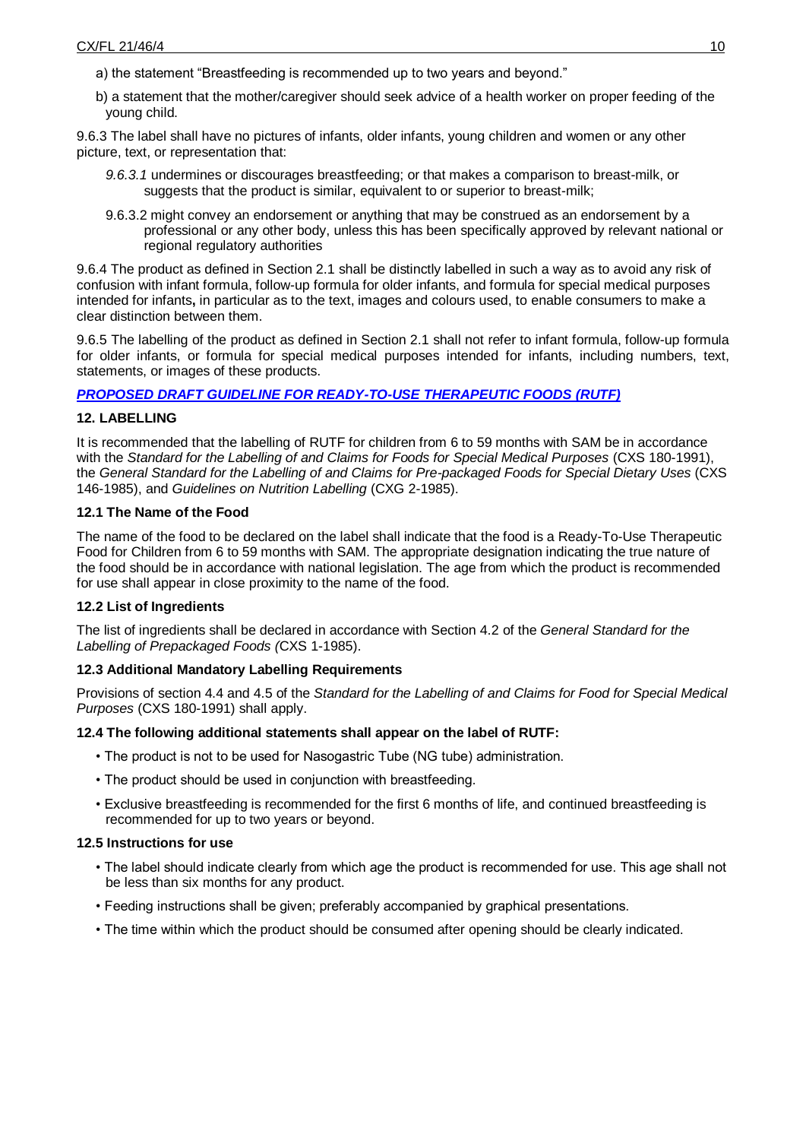- a) the statement "Breastfeeding is recommended up to two years and beyond."
- b) a statement that the mother/caregiver should seek advice of a health worker on proper feeding of the young child.

9.6.3 The label shall have no pictures of infants, older infants, young children and women or any other picture, text, or representation that:

- *9.6.3.1* undermines or discourages breastfeeding; or that makes a comparison to breast-milk, or suggests that the product is similar, equivalent to or superior to breast-milk;
- 9.6.3.2 might convey an endorsement or anything that may be construed as an endorsement by a professional or any other body, unless this has been specifically approved by relevant national or regional regulatory authorities

9.6.4 The product as defined in Section 2.1 shall be distinctly labelled in such a way as to avoid any risk of confusion with infant formula, follow-up formula for older infants, and formula for special medical purposes intended for infants**,** in particular as to the text, images and colours used, to enable consumers to make a clear distinction between them.

9.6.5 The labelling of the product as defined in Section 2.1 shall not refer to infant formula, follow-up formula for older infants, or formula for special medical purposes intended for infants, including numbers, text, statements, or images of these products.

### *[PROPOSED DRAFT GUIDELINE FOR READY-TO-USE THERAPEUTIC FOODS](http://www.fao.org/fao-who-codexalimentarius/sh-proxy/en/?lnk=1&url=https%253A%252F%252Fworkspace.fao.org%252Fsites%252Fcodex%252FMeetings%252FCX-720-41%252FReport%252FAdoption%252FREP20_NFSDUe.pdf#page=70) (RUTF)*

### **12. LABELLING**

It is recommended that the labelling of RUTF for children from 6 to 59 months with SAM be in accordance with the *Standard for the Labelling of and Claims for Foods for Special Medical Purposes* (CXS 180-1991), the *General Standard for the Labelling of and Claims for Pre-packaged Foods for Special Dietary Uses* (CXS 146-1985), and *Guidelines on Nutrition Labelling* (CXG 2-1985).

#### **12.1 The Name of the Food**

The name of the food to be declared on the label shall indicate that the food is a Ready-To-Use Therapeutic Food for Children from 6 to 59 months with SAM. The appropriate designation indicating the true nature of the food should be in accordance with national legislation. The age from which the product is recommended for use shall appear in close proximity to the name of the food.

### **12.2 List of Ingredients**

The list of ingredients shall be declared in accordance with Section 4.2 of the *General Standard for the Labelling of Prepackaged Foods (*CXS 1-1985).

### **12.3 Additional Mandatory Labelling Requirements**

Provisions of section 4.4 and 4.5 of the *Standard for the Labelling of and Claims for Food for Special Medical Purposes* (CXS 180-1991) shall apply.

#### **12.4 The following additional statements shall appear on the label of RUTF:**

- The product is not to be used for Nasogastric Tube (NG tube) administration.
- The product should be used in conjunction with breastfeeding.
- Exclusive breastfeeding is recommended for the first 6 months of life, and continued breastfeeding is recommended for up to two years or beyond.

#### **12.5 Instructions for use**

- The label should indicate clearly from which age the product is recommended for use. This age shall not be less than six months for any product.
- Feeding instructions shall be given; preferably accompanied by graphical presentations.
- The time within which the product should be consumed after opening should be clearly indicated.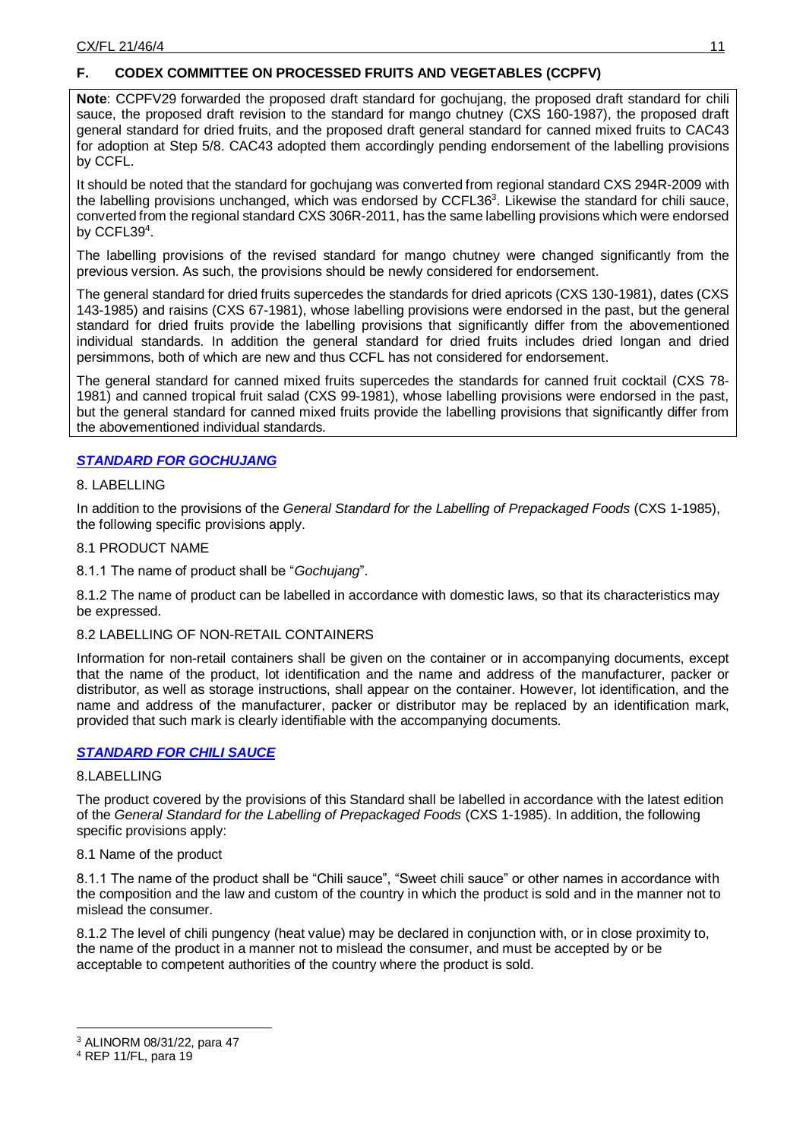# **F. CODEX COMMITTEE ON PROCESSED FRUITS AND VEGETABLES (CCPFV)**

**Note**: CCPFV29 forwarded the proposed draft standard for gochujang, the proposed draft standard for chili sauce, the proposed draft revision to the standard for mango chutney (CXS 160-1987), the proposed draft general standard for dried fruits, and the proposed draft general standard for canned mixed fruits to CAC43 for adoption at Step 5/8. CAC43 adopted them accordingly pending endorsement of the labelling provisions by CCFL.

It should be noted that the standard for gochujang was converted from regional standard CXS 294R-2009 with the labelling provisions unchanged, which was endorsed by CCFL36<sup>3</sup>. Likewise the standard for chili sauce, converted from the regional standard CXS 306R-2011, has the same labelling provisions which were endorsed by CCFL39<sup>4</sup>.

The labelling provisions of the revised standard for mango chutney were changed significantly from the previous version. As such, the provisions should be newly considered for endorsement.

The general standard for dried fruits supercedes the standards for dried apricots (CXS 130-1981), dates (CXS 143-1985) and raisins (CXS 67-1981), whose labelling provisions were endorsed in the past, but the general standard for dried fruits provide the labelling provisions that significantly differ from the abovementioned individual standards. In addition the general standard for dried fruits includes dried longan and dried persimmons, both of which are new and thus CCFL has not considered for endorsement.

The general standard for canned mixed fruits supercedes the standards for canned fruit cocktail (CXS 78- 1981) and canned tropical fruit salad (CXS 99-1981), whose labelling provisions were endorsed in the past, but the general standard for canned mixed fruits provide the labelling provisions that significantly differ from the abovementioned individual standards.

# *[STANDARD FOR GOCHUJANG](http://www.fao.org/fao-who-codexalimentarius/sh-proxy/en/?lnk=1&url=https%253A%252F%252Fworkspace.fao.org%252Fsites%252Fcodex%252FMeetings%252FCX-713-29%252FReport%252FREP20_PFVe.pdf#page=15)*

#### 8. LABELLING

In addition to the provisions of the *General Standard for the Labelling of Prepackaged Foods* (CXS 1-1985), the following specific provisions apply.

### 8.1 PRODUCT NAME

8.1.1 The name of product shall be "*Gochujang*".

8.1.2 The name of product can be labelled in accordance with domestic laws, so that its characteristics may be expressed.

### 8.2 LABELLING OF NON-RETAIL CONTAINERS

Information for non-retail containers shall be given on the container or in accompanying documents, except that the name of the product, lot identification and the name and address of the manufacturer, packer or distributor, as well as storage instructions, shall appear on the container. However, lot identification, and the name and address of the manufacturer, packer or distributor may be replaced by an identification mark, provided that such mark is clearly identifiable with the accompanying documents.

### *[STANDARD FOR CHILI SAUCE](http://www.fao.org/fao-who-codexalimentarius/sh-proxy/en/?lnk=1&url=https%253A%252F%252Fworkspace.fao.org%252Fsites%252Fcodex%252FMeetings%252FCX-713-29%252FReport%252FREP20_PFVe.pdf#page=27)*

### 8.LABELLING

The product covered by the provisions of this Standard shall be labelled in accordance with the latest edition of the *General Standard for the Labelling of Prepackaged Foods* (CXS 1-1985). In addition, the following specific provisions apply:

8.1 Name of the product

8.1.1 The name of the product shall be "Chili sauce", "Sweet chili sauce" or other names in accordance with the composition and the law and custom of the country in which the product is sold and in the manner not to mislead the consumer.

8.1.2 The level of chili pungency (heat value) may be declared in conjunction with, or in close proximity to, the name of the product in a manner not to mislead the consumer, and must be accepted by or be acceptable to competent authorities of the country where the product is sold.

-

<sup>3</sup> ALINORM 08/31/22, para 47

<sup>4</sup> REP 11/FL, para 19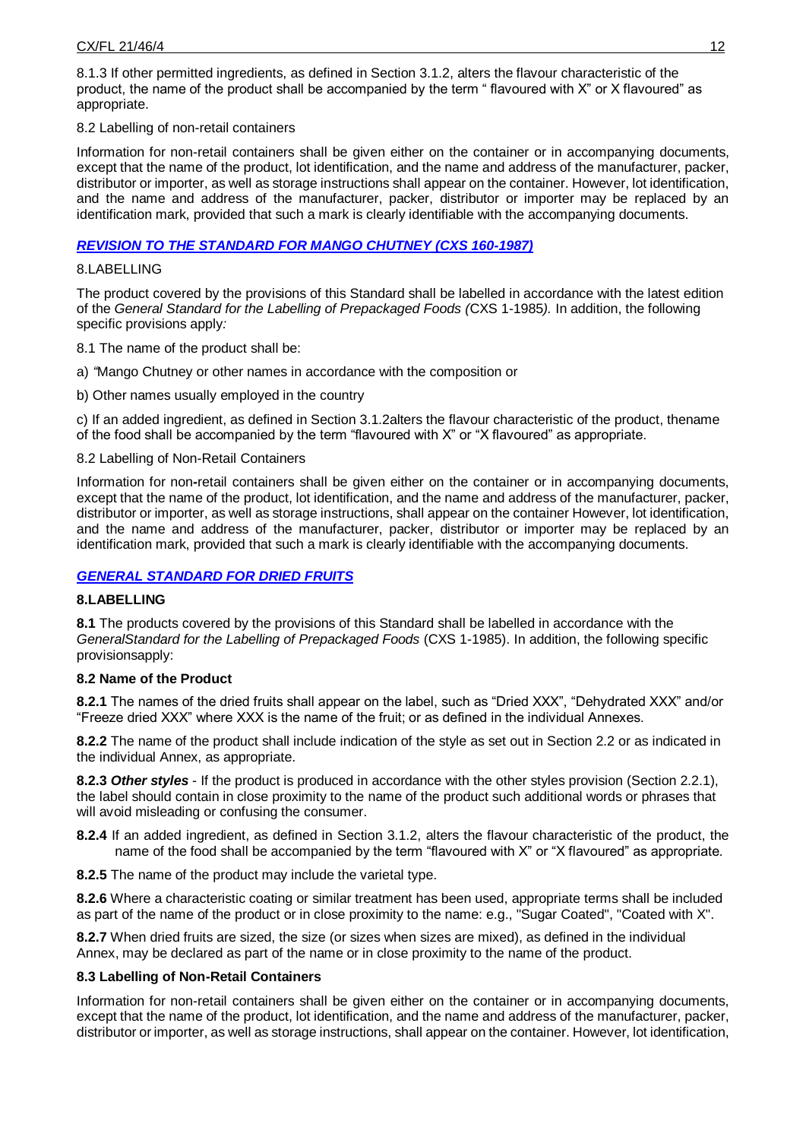8.1.3 If other permitted ingredients, as defined in Section 3.1.2, alters the flavour characteristic of the product, the name of the product shall be accompanied by the term " flavoured with X" or X flavoured" as appropriate.

### 8.2 Labelling of non-retail containers

Information for non-retail containers shall be given either on the container or in accompanying documents, except that the name of the product, lot identification, and the name and address of the manufacturer, packer, distributor or importer, as well as storage instructions shall appear on the container. However, lot identification, and the name and address of the manufacturer, packer, distributor or importer may be replaced by an identification mark, provided that such a mark is clearly identifiable with the accompanying documents.

## *[REVISION TO THE STANDARD FOR MANGO CHUTNEY \(CXS 160-1987\)](http://www.fao.org/fao-who-codexalimentarius/sh-proxy/en/?lnk=1&url=https%253A%252F%252Fworkspace.fao.org%252Fsites%252Fcodex%252FMeetings%252FCX-713-29%252FReport%252FREP20_PFVe.pdf#page=35)*

#### 8.LABELLING

The product covered by the provisions of this Standard shall be labelled in accordance with the latest edition of the *General Standard for the Labelling of Prepackaged Foods (*CXS 1*-*1985*).* In addition, the following specific provisions apply*:* 

8.1 The name of the product shall be:

a) *"*Mango Chutney or other names in accordance with the composition or

b) Other names usually employed in the country

c) If an added ingredient, as defined in Section 3.1.2alters the flavour characteristic of the product, thename of the food shall be accompanied by the term "flavoured with X" or "X flavoured" as appropriate.

#### 8.2 Labelling of Non-Retail Containers

Information for non*-*retail containers shall be given either on the container or in accompanying documents, except that the name of the product, lot identification, and the name and address of the manufacturer, packer, distributor or importer, as well as storage instructions, shall appear on the container However, lot identification, and the name and address of the manufacturer, packer, distributor or importer may be replaced by an identification mark, provided that such a mark is clearly identifiable with the accompanying documents.

### *[GENERAL STANDARD FOR DRIED FRUITS](http://www.fao.org/fao-who-codexalimentarius/sh-proxy/en/?lnk=1&url=https%253A%252F%252Fworkspace.fao.org%252Fsites%252Fcodex%252FMeetings%252FCX-713-29%252FReport%252FREP20_PFVe.pdf#page=41)*

### **8.LABELLING**

**8.1** The products covered by the provisions of this Standard shall be labelled in accordance with the *GeneralStandard for the Labelling of Prepackaged Foods* (CXS 1-1985). In addition, the following specific provisionsapply:

### **8.2 Name of the Product**

**8.2.1** The names of the dried fruits shall appear on the label, such as "Dried XXX", "Dehydrated XXX" and/or "Freeze dried XXX" where XXX is the name of the fruit; or as defined in the individual Annexes.

**8.2.2** The name of the product shall include indication of the style as set out in Section 2.2 or as indicated in the individual Annex, as appropriate.

**8.2.3** *Other styles* - If the product is produced in accordance with the other styles provision (Section 2.2.1), the label should contain in close proximity to the name of the product such additional words or phrases that will avoid misleading or confusing the consumer.

**8.2.4** If an added ingredient, as defined in Section 3.1.2, alters the flavour characteristic of the product, the name of the food shall be accompanied by the term "flavoured with X" or "X flavoured" as appropriate.

**8.2.5** The name of the product may include the varietal type.

**8.2.6** Where a characteristic coating or similar treatment has been used, appropriate terms shall be included as part of the name of the product or in close proximity to the name: e.g., "Sugar Coated", "Coated with X".

**8.2.7** When dried fruits are sized, the size (or sizes when sizes are mixed), as defined in the individual Annex, may be declared as part of the name or in close proximity to the name of the product.

### **8.3 Labelling of Non-Retail Containers**

Information for non-retail containers shall be given either on the container or in accompanying documents, except that the name of the product, lot identification, and the name and address of the manufacturer, packer, distributor or importer, as well as storage instructions, shall appear on the container. However, lot identification,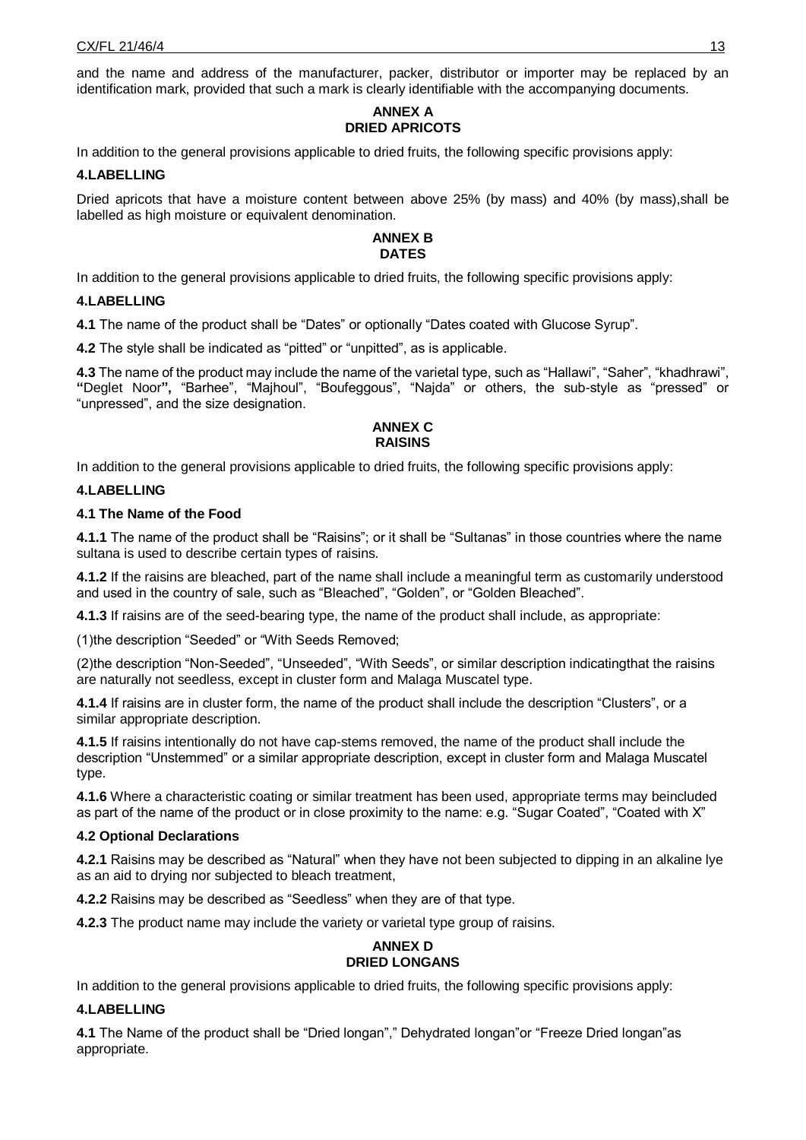and the name and address of the manufacturer, packer, distributor or importer may be replaced by an identification mark, provided that such a mark is clearly identifiable with the accompanying documents.

## **ANNEX A DRIED APRICOTS**

In addition to the general provisions applicable to dried fruits, the following specific provisions apply:

#### **4.LABELLING**

Dried apricots that have a moisture content between above 25% (by mass) and 40% (by mass),shall be labelled as high moisture or equivalent denomination.

#### **ANNEX B DATES**

In addition to the general provisions applicable to dried fruits, the following specific provisions apply:

### **4.LABELLING**

**4.1** The name of the product shall be "Dates" or optionally "Dates coated with Glucose Syrup".

**4.2** The style shall be indicated as "pitted" or "unpitted", as is applicable.

**4.3** The name of the product may include the name of the varietal type, such as "Hallawi", "Saher", "khadhrawi", **"**Deglet Noor**",** "Barhee", "Majhoul", "Boufeggous", "Najda" or others, the sub-style as "pressed" or "unpressed", and the size designation.

#### **ANNEX C RAISINS**

In addition to the general provisions applicable to dried fruits, the following specific provisions apply:

#### **4.LABELLING**

#### **4.1 The Name of the Food**

**4.1.1** The name of the product shall be "Raisins"; or it shall be "Sultanas" in those countries where the name sultana is used to describe certain types of raisins.

**4.1.2** If the raisins are bleached, part of the name shall include a meaningful term as customarily understood and used in the country of sale, such as "Bleached", "Golden", or "Golden Bleached".

**4.1.3** If raisins are of the seed-bearing type, the name of the product shall include, as appropriate:

(1)the description "Seeded" or "With Seeds Removed;

(2)the description "Non-Seeded", "Unseeded", "With Seeds", or similar description indicatingthat the raisins are naturally not seedless, except in cluster form and Malaga Muscatel type.

**4.1.4** If raisins are in cluster form, the name of the product shall include the description "Clusters", or a similar appropriate description.

**4.1.5** If raisins intentionally do not have cap-stems removed, the name of the product shall include the description "Unstemmed" or a similar appropriate description, except in cluster form and Malaga Muscatel type.

**4.1.6** Where a characteristic coating or similar treatment has been used, appropriate terms may beincluded as part of the name of the product or in close proximity to the name: e.g. "Sugar Coated", "Coated with X"

### **4.2 Optional Declarations**

**4.2.1** Raisins may be described as "Natural" when they have not been subjected to dipping in an alkaline lye as an aid to drying nor subjected to bleach treatment,

**4.2.2** Raisins may be described as "Seedless" when they are of that type.

**4.2.3** The product name may include the variety or varietal type group of raisins.

#### **ANNEX D DRIED LONGANS**

In addition to the general provisions applicable to dried fruits, the following specific provisions apply:

### **4.LABELLING**

**4.1** The Name of the product shall be "Dried longan"," Dehydrated longan"or "Freeze Dried longan"as appropriate.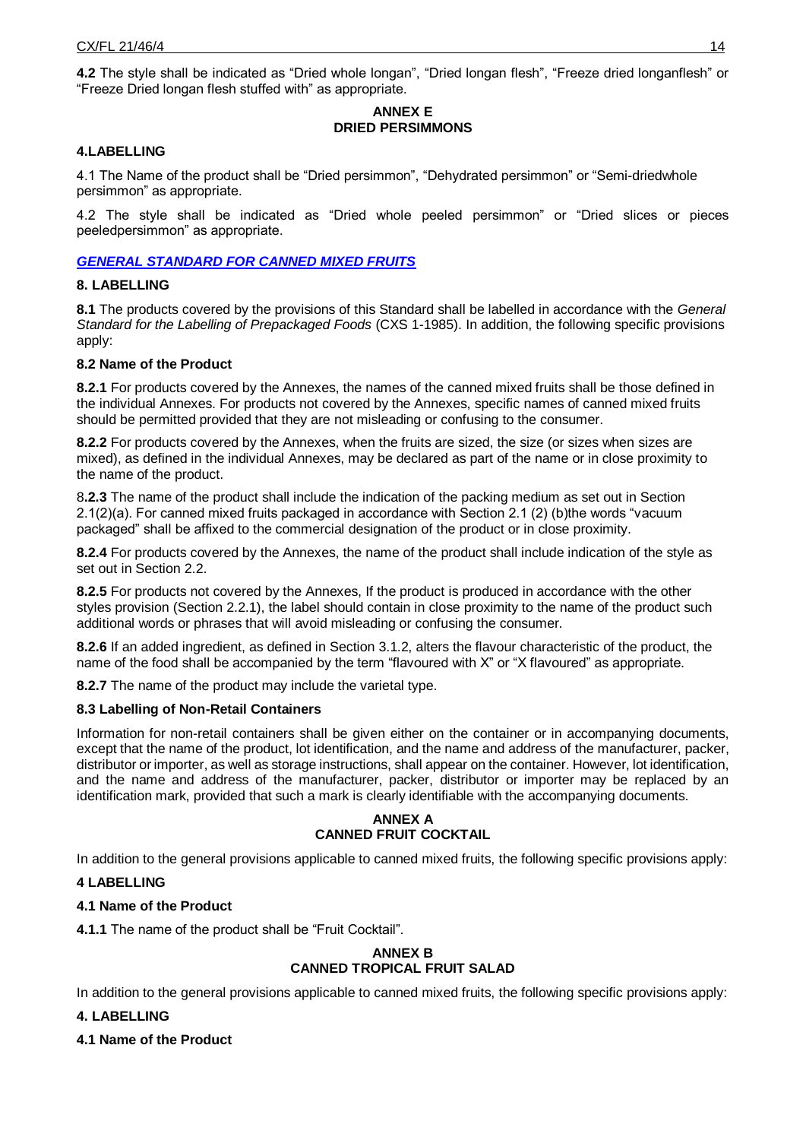**4.2** The style shall be indicated as "Dried whole longan", "Dried longan flesh", "Freeze dried longanflesh" or "Freeze Dried longan flesh stuffed with" as appropriate.

#### **ANNEX E DRIED PERSIMMONS**

#### **4.LABELLING**

4.1 The Name of the product shall be "Dried persimmon", "Dehydrated persimmon" or "Semi-driedwhole persimmon" as appropriate.

4.2 The style shall be indicated as "Dried whole peeled persimmon" or "Dried slices or pieces peeledpersimmon" as appropriate.

#### *[GENERAL STANDARD FOR CANNED MIXED FRUITS](http://www.fao.org/fao-who-codexalimentarius/sh-proxy/en/?lnk=1&url=https%253A%252F%252Fworkspace.fao.org%252Fsites%252Fcodex%252FMeetings%252FCX-713-29%252FReport%252FREP20_PFVe.pdf#page=64)*

#### **8. LABELLING**

**8.1** The products covered by the provisions of this Standard shall be labelled in accordance with the *General Standard for the Labelling of Prepackaged Foods* (CXS 1-1985). In addition, the following specific provisions apply:

#### **8.2 Name of the Product**

**8.2.1** For products covered by the Annexes, the names of the canned mixed fruits shall be those defined in the individual Annexes. For products not covered by the Annexes, specific names of canned mixed fruits should be permitted provided that they are not misleading or confusing to the consumer.

**8.2.2** For products covered by the Annexes, when the fruits are sized, the size (or sizes when sizes are mixed), as defined in the individual Annexes, may be declared as part of the name or in close proximity to the name of the product.

8**.2.3** The name of the product shall include the indication of the packing medium as set out in Section 2.1(2)(a). For canned mixed fruits packaged in accordance with Section 2.1 (2) (b)the words "vacuum packaged" shall be affixed to the commercial designation of the product or in close proximity.

**8.2.4** For products covered by the Annexes, the name of the product shall include indication of the style as set out in Section 2.2.

**8.2.5** For products not covered by the Annexes, If the product is produced in accordance with the other styles provision (Section 2.2.1), the label should contain in close proximity to the name of the product such additional words or phrases that will avoid misleading or confusing the consumer.

**8.2.6** If an added ingredient, as defined in Section 3.1.2, alters the flavour characteristic of the product, the name of the food shall be accompanied by the term "flavoured with X" or "X flavoured" as appropriate.

**8.2.7** The name of the product may include the varietal type.

### **8.3 Labelling of Non-Retail Containers**

Information for non-retail containers shall be given either on the container or in accompanying documents, except that the name of the product, lot identification, and the name and address of the manufacturer, packer, distributor or importer, as well as storage instructions, shall appear on the container. However, lot identification, and the name and address of the manufacturer, packer, distributor or importer may be replaced by an identification mark, provided that such a mark is clearly identifiable with the accompanying documents.

#### **ANNEX A CANNED FRUIT COCKTAIL**

In addition to the general provisions applicable to canned mixed fruits, the following specific provisions apply:

### **4 LABELLING**

### **4.1 Name of the Product**

**4.1.1** The name of the product shall be "Fruit Cocktail".

#### **ANNEX B CANNED TROPICAL FRUIT SALAD**

In addition to the general provisions applicable to canned mixed fruits, the following specific provisions apply:

### **4. LABELLING**

**4.1 Name of the Product**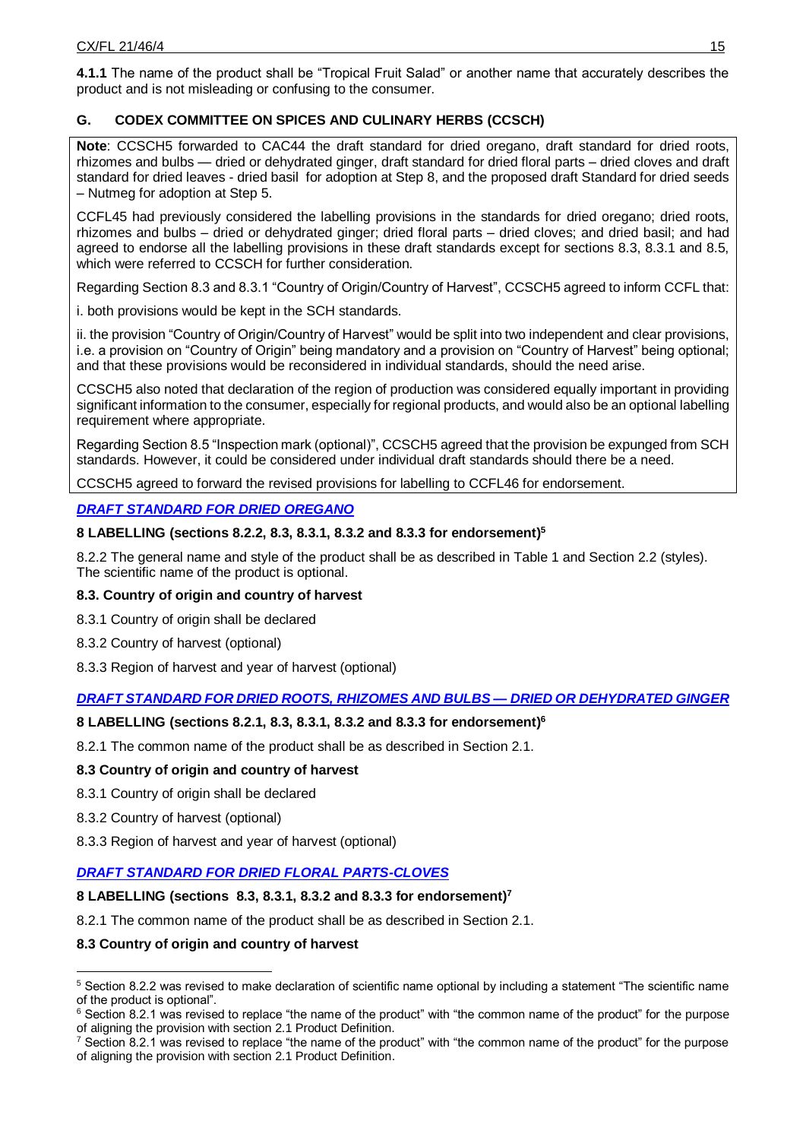**4.1.1** The name of the product shall be "Tropical Fruit Salad" or another name that accurately describes the product and is not misleading or confusing to the consumer.

# **G. CODEX COMMITTEE ON SPICES AND CULINARY HERBS (CCSCH)**

**Note**: CCSCH5 forwarded to CAC44 the draft standard for dried oregano, draft standard for dried roots, rhizomes and bulbs — dried or dehydrated ginger, draft standard for dried floral parts – dried cloves and draft standard for dried leaves - dried basil for adoption at Step 8, and the proposed draft Standard for dried seeds – Nutmeg for adoption at Step 5.

CCFL45 had previously considered the labelling provisions in the standards for dried oregano; dried roots, rhizomes and bulbs – dried or dehydrated ginger; dried floral parts – dried cloves; and dried basil; and had agreed to endorse all the labelling provisions in these draft standards except for sections 8.3, 8.3.1 and 8.5, which were referred to CCSCH for further consideration.

Regarding Section 8.3 and 8.3.1 "Country of Origin/Country of Harvest", CCSCH5 agreed to inform CCFL that:

i. both provisions would be kept in the SCH standards.

ii. the provision "Country of Origin/Country of Harvest" would be split into two independent and clear provisions, i.e. a provision on "Country of Origin" being mandatory and a provision on "Country of Harvest" being optional; and that these provisions would be reconsidered in individual standards, should the need arise.

CCSCH5 also noted that declaration of the region of production was considered equally important in providing significant information to the consumer, especially for regional products, and would also be an optional labelling requirement where appropriate.

Regarding Section 8.5 "Inspection mark (optional)", CCSCH5 agreed that the provision be expunged from SCH standards. However, it could be considered under individual draft standards should there be a need.

CCSCH5 agreed to forward the revised provisions for labelling to CCFL46 for endorsement.

# *[DRAFT STANDARD FOR DRIED OREGANO](http://www.fao.org/fao-who-codexalimentarius/sh-proxy/en/?lnk=1&url=https%253A%252F%252Fworkspace.fao.org%252Fsites%252Fcodex%252FMeetings%252FCX-736-05%252FFinal%252520Report%252FREP21_SCHe.pdf#page=33)*

## **8 LABELLING (sections 8.2.2, 8.3, 8.3.1, 8.3.2 and 8.3.3 for endorsement) 5**

8.2.2 The general name and style of the product shall be as described in Table 1 and Section 2.2 (styles). The scientific name of the product is optional.

### **8.3. Country of origin and country of harvest**

- 8.3.1 Country of origin shall be declared
- 8.3.2 Country of harvest (optional)
- 8.3.3 Region of harvest and year of harvest (optional)

# *[DRAFT STANDARD FOR DRIED ROOTS, RHIZOMES AND BULBS —](http://www.fao.org/fao-who-codexalimentarius/sh-proxy/en/?lnk=1&url=https%253A%252F%252Fworkspace.fao.org%252Fsites%252Fcodex%252FMeetings%252FCX-736-05%252FFinal%252520Report%252FREP21_SCHe.pdf#page=37) DRIED OR DEHYDRATED GINGER*

# **8 LABELLING (sections 8.2.1, 8.3, 8.3.1, 8.3.2 and 8.3.3 for endorsement) 6**

8.2.1 The common name of the product shall be as described in Section 2.1.

### **8.3 Country of origin and country of harvest**

- 8.3.1 Country of origin shall be declared
- 8.3.2 Country of harvest (optional)

-

8.3.3 Region of harvest and year of harvest (optional)

# *[DRAFT STANDARD FOR DRIED FLORAL PARTS-CLOVES](http://www.fao.org/fao-who-codexalimentarius/sh-proxy/en/?lnk=1&url=https%253A%252F%252Fworkspace.fao.org%252Fsites%252Fcodex%252FMeetings%252FCX-736-05%252FFinal%252520Report%252FREP21_SCHe.pdf#page=41)*

### **8 LABELLING (sections 8.3, 8.3.1, 8.3.2 and 8.3.3 for endorsement) 7**

8.2.1 The common name of the product shall be as described in Section 2.1.

### **8.3 Country of origin and country of harvest**

<sup>5</sup> Section 8.2.2 was revised to make declaration of scientific name optional by including a statement "The scientific name of the product is optional".

<sup>&</sup>lt;sup>6</sup> Section 8.2.1 was revised to replace "the name of the product" with "the common name of the product" for the purpose of aligning the provision with section 2.1 Product Definition.

 $7$  Section 8.2.1 was revised to replace "the name of the product" with "the common name of the product" for the purpose of aligning the provision with section 2.1 Product Definition.